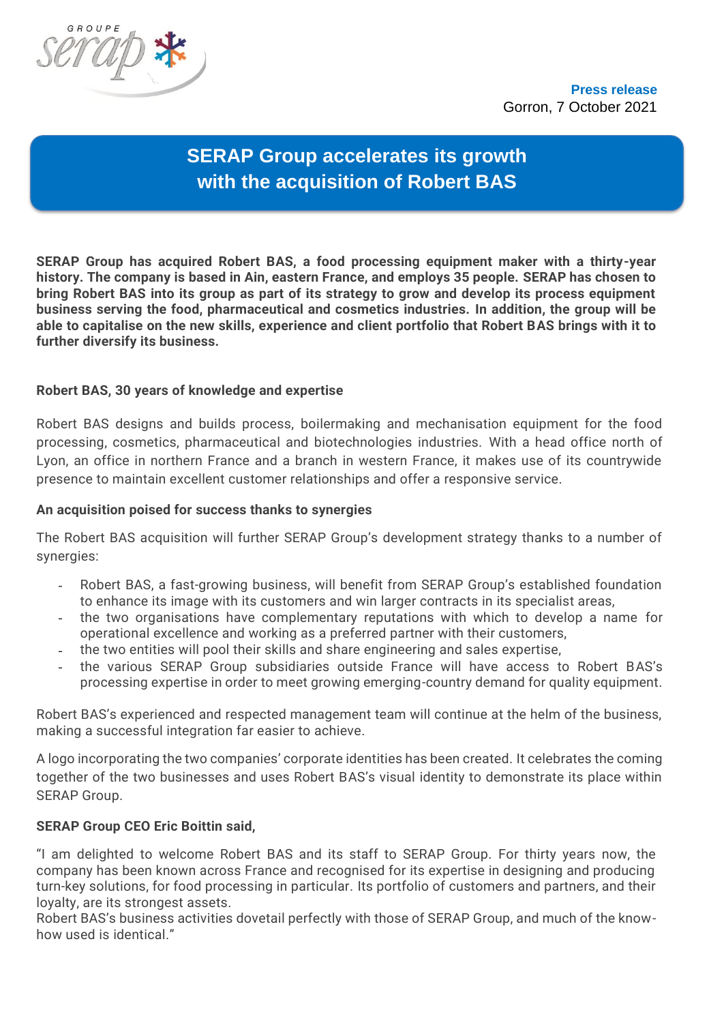

# **SERAP Group accelerates its growth with the acquisition of Robert BAS**

**SERAP Group has acquired Robert BAS, a food processing equipment maker with a thirty-year history. The company is based in Ain, eastern France, and employs 35 people. SERAP has chosen to bring Robert BAS into its group as part of its strategy to grow and develop its process equipment business serving the food, pharmaceutical and cosmetics industries. In addition, the group will be able to capitalise on the new skills, experience and client portfolio that Robert BAS brings with it to further diversify its business.**

# **Robert BAS, 30 years of knowledge and expertise**

Robert BAS designs and builds process, boilermaking and mechanisation equipment for the food processing, cosmetics, pharmaceutical and biotechnologies industries. With a head office north of Lyon, an office in northern France and a branch in western France, it makes use of its countrywide presence to maintain excellent customer relationships and offer a responsive service.

# **An acquisition poised for success thanks to synergies**

The Robert BAS acquisition will further SERAP Group's development strategy thanks to a number of synergies:

- Robert BAS, a fast-growing business, will benefit from SERAP Group's established foundation to enhance its image with its customers and win larger contracts in its specialist areas,
- the two organisations have complementary reputations with which to develop a name for operational excellence and working as a preferred partner with their customers,
- the two entities will pool their skills and share engineering and sales expertise,
- the various SERAP Group subsidiaries outside France will have access to Robert BAS's processing expertise in order to meet growing emerging-country demand for quality equipment.

Robert BAS's experienced and respected management team will continue at the helm of the business, making a successful integration far easier to achieve.

A logo incorporating the two companies' corporate identities has been created. It celebrates the coming together of the two businesses and uses Robert BAS's visual identity to demonstrate its place within SERAP Group.

## **SERAP Group CEO Eric Boittin said,**

"I am delighted to welcome Robert BAS and its staff to SERAP Group. For thirty years now, the company has been known across France and recognised for its expertise in designing and producing turn-key solutions, for food processing in particular. Its portfolio of customers and partners, and their loyalty, are its strongest assets.

Robert BAS's business activities dovetail perfectly with those of SERAP Group, and much of the knowhow used is identical."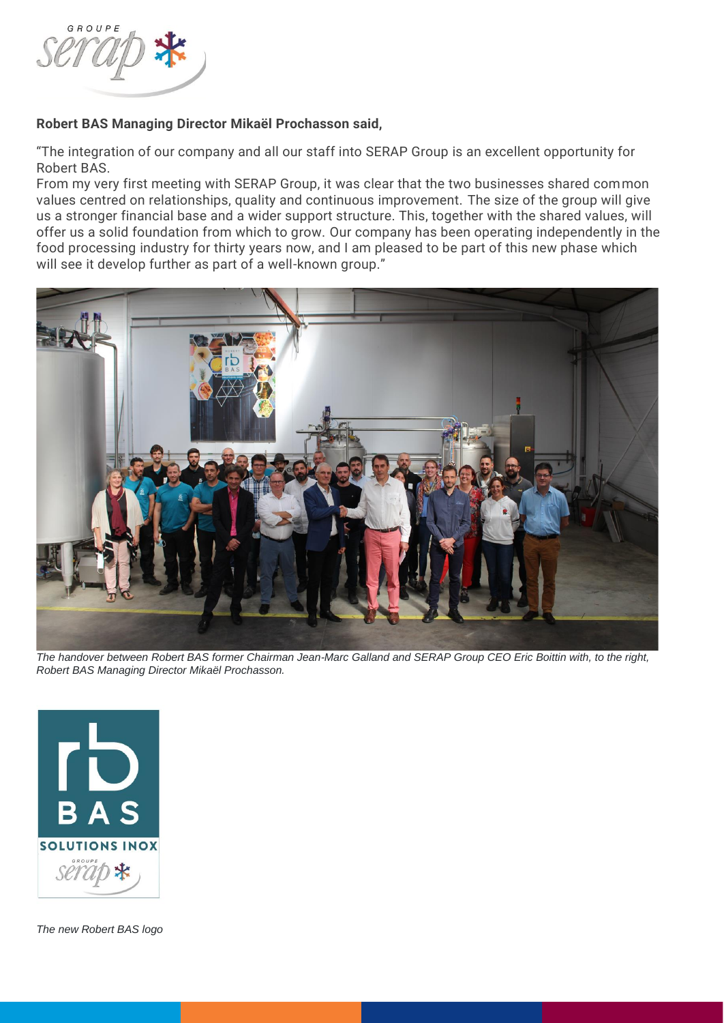

# **Robert BAS Managing Director Mikaël Prochasson said,**

"The integration of our company and all our staff into SERAP Group is an excellent opportunity for Robert BAS.

From my very first meeting with SERAP Group, it was clear that the two businesses shared common values centred on relationships, quality and continuous improvement. The size of the group will give us a stronger financial base and a wider support structure. This, together with the shared values, will offer us a solid foundation from which to grow. Our company has been operating independently in the food processing industry for thirty years now, and I am pleased to be part of this new phase which will see it develop further as part of a well-known group."



*The handover between Robert BAS former Chairman Jean-Marc Galland and SERAP Group CEO Eric Boittin with, to the right, Robert BAS Managing Director Mikaël Prochasson.*



*The new Robert BAS logo*